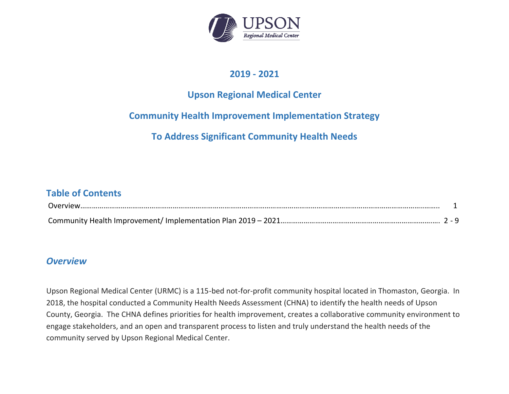

### **2019 - 2021**

## **Upson Regional Medical Center**

## **Community Health Improvement Implementation Strategy**

**To Address Significant Community Health Needs**

### **Table of Contents**

| Overview |  |
|----------|--|
|          |  |

#### *Overview*

Upson Regional Medical Center (URMC) is a 115-bed not-for-profit community hospital located in Thomaston, Georgia. In 2018, the hospital conducted a Community Health Needs Assessment (CHNA) to identify the health needs of Upson County, Georgia. The CHNA defines priorities for health improvement, creates a collaborative community environment to engage stakeholders, and an open and transparent process to listen and truly understand the health needs of the community served by Upson Regional Medical Center.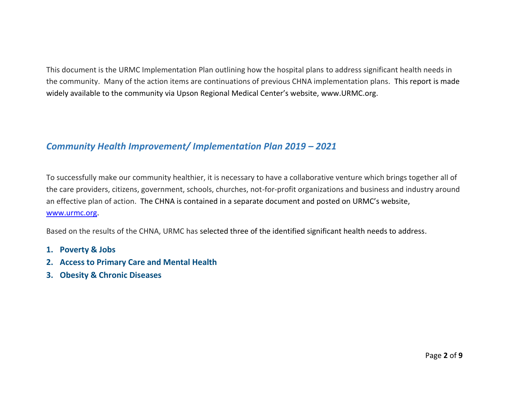This document is the URMC Implementation Plan outlining how the hospital plans to address significant health needs in the community. Many of the action items are continuations of previous CHNA implementation plans. This report is made widely available to the community via Upson Regional Medical Center's website, www.URMC.org.

### *Community Health Improvement/ Implementation Plan 2019 – 2021*

To successfully make our community healthier, it is necessary to have a collaborative venture which brings together all of the care providers, citizens, government, schools, churches, not-for-profit organizations and business and industry around an effective plan of action. The CHNA is contained in a separate document and posted on URMC's website, [www.urmc.org.](http://www.urmc.org/)

Based on the results of the CHNA, URMC has selected three of the identified significant health needs to address.

- **1. Poverty & Jobs**
- **2. Access to Primary Care and Mental Health**
- **3. Obesity & Chronic Diseases**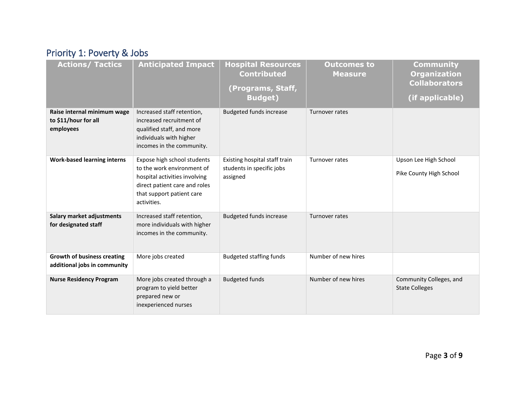# Priority 1: Poverty & Jobs

| <b>Actions/ Tactics</b>                                            | <b>Anticipated Impact</b>                                                                                                                                               | <b>Hospital Resources</b><br><b>Contributed</b><br>(Programs, Staff,<br><b>Budget)</b> | <b>Outcomes to</b><br><b>Measure</b> | <b>Community</b><br><b>Organization</b><br><b>Collaborators</b><br>(if applicable) |
|--------------------------------------------------------------------|-------------------------------------------------------------------------------------------------------------------------------------------------------------------------|----------------------------------------------------------------------------------------|--------------------------------------|------------------------------------------------------------------------------------|
| Raise internal minimum wage<br>to \$11/hour for all<br>employees   | Increased staff retention,<br>increased recruitment of<br>qualified staff, and more<br>individuals with higher<br>incomes in the community.                             | <b>Budgeted funds increase</b>                                                         | Turnover rates                       |                                                                                    |
| <b>Work-based learning interns</b>                                 | Expose high school students<br>to the work environment of<br>hospital activities involving<br>direct patient care and roles<br>that support patient care<br>activities. | Existing hospital staff train<br>students in specific jobs<br>assigned                 | Turnover rates                       | Upson Lee High School<br>Pike County High School                                   |
| Salary market adjustments<br>for designated staff                  | Increased staff retention,<br>more individuals with higher<br>incomes in the community.                                                                                 | <b>Budgeted funds increase</b>                                                         | Turnover rates                       |                                                                                    |
| <b>Growth of business creating</b><br>additional jobs in community | More jobs created                                                                                                                                                       | <b>Budgeted staffing funds</b>                                                         | Number of new hires                  |                                                                                    |
| <b>Nurse Residency Program</b>                                     | More jobs created through a<br>program to yield better<br>prepared new or<br>inexperienced nurses                                                                       | <b>Budgeted funds</b>                                                                  | Number of new hires                  | Community Colleges, and<br><b>State Colleges</b>                                   |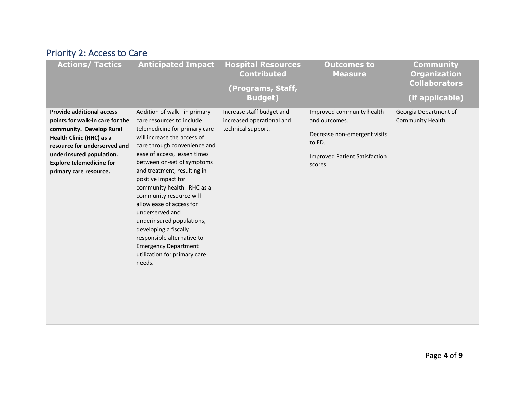# Priority 2: Access to Care

| <b>Actions/ Tactics</b>                                                                                                                                                                                                                              | <b>Anticipated Impact</b>                                                                                                                                                                                                                                                                                                                                                                                                                                                                                                                          | <b>Hospital Resources</b><br><b>Contributed</b><br>(Programs, Staff,<br><b>Budget)</b> | <b>Outcomes to</b><br><b>Measure</b>                                                                                                    | <b>Community</b><br><b>Organization</b><br><b>Collaborators</b><br>(if applicable) |
|------------------------------------------------------------------------------------------------------------------------------------------------------------------------------------------------------------------------------------------------------|----------------------------------------------------------------------------------------------------------------------------------------------------------------------------------------------------------------------------------------------------------------------------------------------------------------------------------------------------------------------------------------------------------------------------------------------------------------------------------------------------------------------------------------------------|----------------------------------------------------------------------------------------|-----------------------------------------------------------------------------------------------------------------------------------------|------------------------------------------------------------------------------------|
| <b>Provide additional access</b><br>points for walk-in care for the<br>community. Develop Rural<br>Health Clinic (RHC) as a<br>resource for underserved and<br>underinsured population.<br><b>Explore telemedicine for</b><br>primary care resource. | Addition of walk -in primary<br>care resources to include<br>telemedicine for primary care<br>will increase the access of<br>care through convenience and<br>ease of access, lessen times<br>between on-set of symptoms<br>and treatment, resulting in<br>positive impact for<br>community health. RHC as a<br>community resource will<br>allow ease of access for<br>underserved and<br>underinsured populations,<br>developing a fiscally<br>responsible alternative to<br><b>Emergency Department</b><br>utilization for primary care<br>needs. | Increase staff budget and<br>increased operational and<br>technical support.           | Improved community health<br>and outcomes.<br>Decrease non-emergent visits<br>to ED.<br><b>Improved Patient Satisfaction</b><br>scores. | Georgia Department of<br><b>Community Health</b>                                   |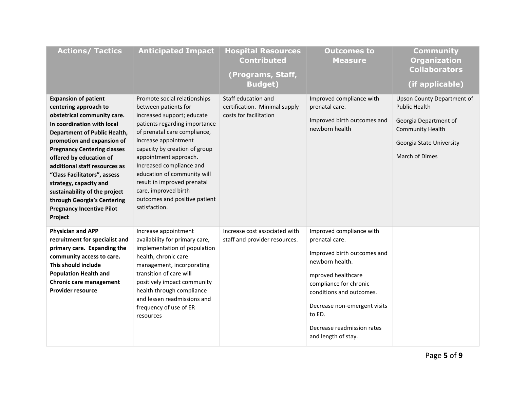| <b>Actions/ Tactics</b>                                                                                                                                                                                                                                                                                                                                                                                                                                           | <b>Anticipated Impact</b>                                                                                                                                                                                                                                                                                                                                                                                 | <b>Hospital Resources</b><br><b>Contributed</b><br>(Programs, Staff,<br><b>Budget)</b> | <b>Outcomes to</b><br><b>Measure</b>                                                                                                                                                                                                                                    | <b>Community</b><br><b>Organization</b><br><b>Collaborators</b><br>(if applicable)                                                                   |
|-------------------------------------------------------------------------------------------------------------------------------------------------------------------------------------------------------------------------------------------------------------------------------------------------------------------------------------------------------------------------------------------------------------------------------------------------------------------|-----------------------------------------------------------------------------------------------------------------------------------------------------------------------------------------------------------------------------------------------------------------------------------------------------------------------------------------------------------------------------------------------------------|----------------------------------------------------------------------------------------|-------------------------------------------------------------------------------------------------------------------------------------------------------------------------------------------------------------------------------------------------------------------------|------------------------------------------------------------------------------------------------------------------------------------------------------|
| <b>Expansion of patient</b><br>centering approach to<br>obstetrical community care.<br>In coordination with local<br><b>Department of Public Health,</b><br>promotion and expansion of<br><b>Pregnancy Centering classes</b><br>offered by education of<br>additional staff resources as<br>"Class Facilitators", assess<br>strategy, capacity and<br>sustainability of the project<br>through Georgia's Centering<br><b>Pregnancy Incentive Pilot</b><br>Project | Promote social relationships<br>between patients for<br>increased support; educate<br>patients regarding importance<br>of prenatal care compliance,<br>increase appointment<br>capacity by creation of group<br>appointment approach.<br>Increased compliance and<br>education of community will<br>result in improved prenatal<br>care, improved birth<br>outcomes and positive patient<br>satisfaction. | Staff education and<br>certification. Minimal supply<br>costs for facilitation         | Improved compliance with<br>prenatal care.<br>Improved birth outcomes and<br>newborn health                                                                                                                                                                             | Upson County Department of<br><b>Public Health</b><br>Georgia Department of<br><b>Community Health</b><br>Georgia State University<br>March of Dimes |
| <b>Physician and APP</b><br>recruitment for specialist and<br>primary care. Expanding the<br>community access to care.<br>This should include<br><b>Population Health and</b><br>Chronic care management<br><b>Provider resource</b>                                                                                                                                                                                                                              | Increase appointment<br>availability for primary care,<br>implementation of population<br>health, chronic care<br>management, incorporating<br>transition of care will<br>positively impact community<br>health through compliance<br>and lessen readmissions and<br>frequency of use of ER<br>resources                                                                                                  | Increase cost associated with<br>staff and provider resources.                         | Improved compliance with<br>prenatal care.<br>Improved birth outcomes and<br>newborn health.<br>mproved healthcare<br>compliance for chronic<br>conditions and outcomes.<br>Decrease non-emergent visits<br>to ED.<br>Decrease readmission rates<br>and length of stay. |                                                                                                                                                      |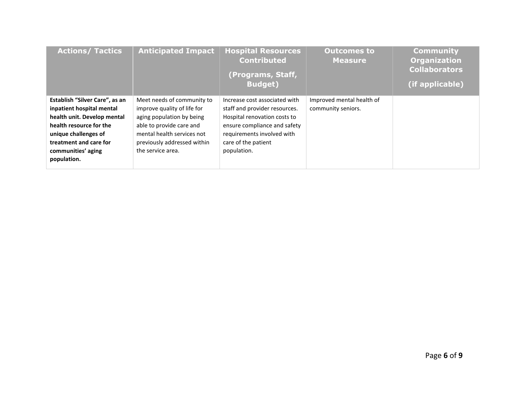| <b>Actions/ Tactics</b>                                                                                                                                                                                      | <b>Anticipated Impact</b>                                                                                                                                                                            | <b>Hospital Resources</b><br><b>Contributed</b><br>(Programs, Staff,<br><b>Budget)</b>                                                                                                             | <b>Outcomes to</b><br><b>Measure</b>            | <b>Community</b><br><b>Organization</b><br><b>Collaborators</b><br>(if applicable) |
|--------------------------------------------------------------------------------------------------------------------------------------------------------------------------------------------------------------|------------------------------------------------------------------------------------------------------------------------------------------------------------------------------------------------------|----------------------------------------------------------------------------------------------------------------------------------------------------------------------------------------------------|-------------------------------------------------|------------------------------------------------------------------------------------|
| Establish "Silver Care", as an<br>inpatient hospital mental<br>health unit. Develop mental<br>health resource for the<br>unique challenges of<br>treatment and care for<br>communities' aging<br>population. | Meet needs of community to<br>improve quality of life for<br>aging population by being<br>able to provide care and<br>mental health services not<br>previously addressed within<br>the service area. | Increase cost associated with<br>staff and provider resources.<br>Hospital renovation costs to<br>ensure compliance and safety<br>requirements involved with<br>care of the patient<br>population. | Improved mental health of<br>community seniors. |                                                                                    |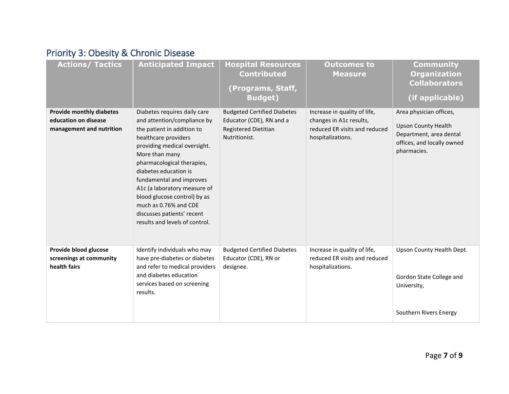## Priority 3: Obesity & Chronic Disease

| <b>Actions/ Tactics</b>                                                             | <b>Anticipated Impact</b>                                                                                                                                                                                                                                                                                                                                                                                       | <b>Hospital Resources</b><br><b>Contributed</b><br>(Programs, Staff,<br><b>Budget)</b>                  | <b>Outcomes to</b><br><b>Measure</b>                                                                          | <b>Community</b><br><b>Organization</b><br><b>Collaborators</b><br>(if applicable)                                            |
|-------------------------------------------------------------------------------------|-----------------------------------------------------------------------------------------------------------------------------------------------------------------------------------------------------------------------------------------------------------------------------------------------------------------------------------------------------------------------------------------------------------------|---------------------------------------------------------------------------------------------------------|---------------------------------------------------------------------------------------------------------------|-------------------------------------------------------------------------------------------------------------------------------|
| <b>Provide monthly diabetes</b><br>education on disease<br>management and nutrition | Diabetes requires daily care<br>and attention/compliance by<br>the patient in addition to<br>healthcare providers<br>providing medical oversight.<br>More than many<br>pharmacological therapies,<br>diabetes education is<br>fundamental and improves<br>A1c (a laboratory measure of<br>blood glucose control) by as<br>much as 0.76% and CDE<br>discusses patients' recent<br>results and levels of control. | <b>Budgeted Certified Diabetes</b><br>Educator (CDE), RN and a<br>Registered Dietitian<br>Nutritionist. | Increase in quality of life,<br>changes in A1c results,<br>reduced ER visits and reduced<br>hospitalizations. | Area physician offices,<br><b>Upson County Health</b><br>Department, area dental<br>offices, and locally owned<br>pharmacies. |
| Provide blood glucose<br>screenings at community<br>health fairs                    | Identify individuals who may<br>have pre-diabetes or diabetes<br>and refer to medical providers<br>and diabetes education<br>services based on screening<br>results.                                                                                                                                                                                                                                            | <b>Budgeted Certified Diabetes</b><br>Educator (CDE), RN or<br>designee.                                | Increase in quality of life,<br>reduced ER visits and reduced<br>hospitalizations.                            | Upson County Health Dept.<br>Gordon State College and<br>University,<br>Southern Rivers Energy                                |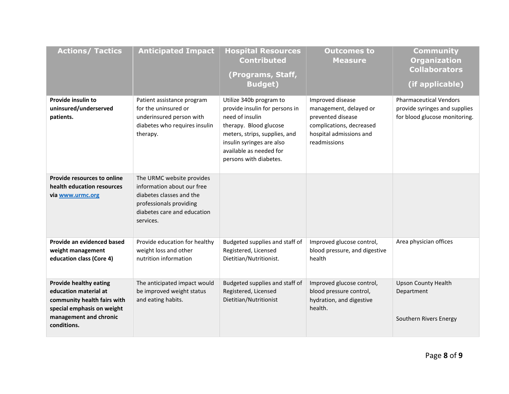| <b>Actions/ Tactics</b>                                                                                                                                      | <b>Anticipated Impact</b>                                                                                                                                  | <b>Hospital Resources</b><br><b>Contributed</b><br>(Programs, Staff,<br><b>Budget)</b>                                                                                                                                    | <b>Outcomes to</b><br><b>Measure</b>                                                                                                   | <b>Community</b><br><b>Organization</b><br><b>Collaborators</b><br>(if applicable)              |
|--------------------------------------------------------------------------------------------------------------------------------------------------------------|------------------------------------------------------------------------------------------------------------------------------------------------------------|---------------------------------------------------------------------------------------------------------------------------------------------------------------------------------------------------------------------------|----------------------------------------------------------------------------------------------------------------------------------------|-------------------------------------------------------------------------------------------------|
| <b>Provide insulin to</b><br>uninsured/underserved<br>patients.                                                                                              | Patient assistance program<br>for the uninsured or<br>underinsured person with<br>diabetes who requires insulin<br>therapy.                                | Utilize 340b program to<br>provide insulin for persons in<br>need of insulin<br>therapy. Blood glucose<br>meters, strips, supplies, and<br>insulin syringes are also<br>available as needed for<br>persons with diabetes. | Improved disease<br>management, delayed or<br>prevented disease<br>complications, decreased<br>hospital admissions and<br>readmissions | <b>Pharmaceutical Vendors</b><br>provide syringes and supplies<br>for blood glucose monitoring. |
| <b>Provide resources to online</b><br>health education resources<br>via www.urmc.org                                                                         | The URMC website provides<br>information about our free<br>diabetes classes and the<br>professionals providing<br>diabetes care and education<br>services. |                                                                                                                                                                                                                           |                                                                                                                                        |                                                                                                 |
| Provide an evidenced based<br>weight management<br>education class (Core 4)                                                                                  | Provide education for healthy<br>weight loss and other<br>nutrition information                                                                            | Budgeted supplies and staff of<br>Registered, Licensed<br>Dietitian/Nutritionist.                                                                                                                                         | Improved glucose control,<br>blood pressure, and digestive<br>health                                                                   | Area physician offices                                                                          |
| <b>Provide healthy eating</b><br>education material at<br>community health fairs with<br>special emphasis on weight<br>management and chronic<br>conditions. | The anticipated impact would<br>be improved weight status<br>and eating habits.                                                                            | Budgeted supplies and staff of<br>Registered, Licensed<br>Dietitian/Nutritionist                                                                                                                                          | Improved glucose control,<br>blood pressure control,<br>hydration, and digestive<br>health.                                            | <b>Upson County Health</b><br>Department<br>Southern Rivers Energy                              |